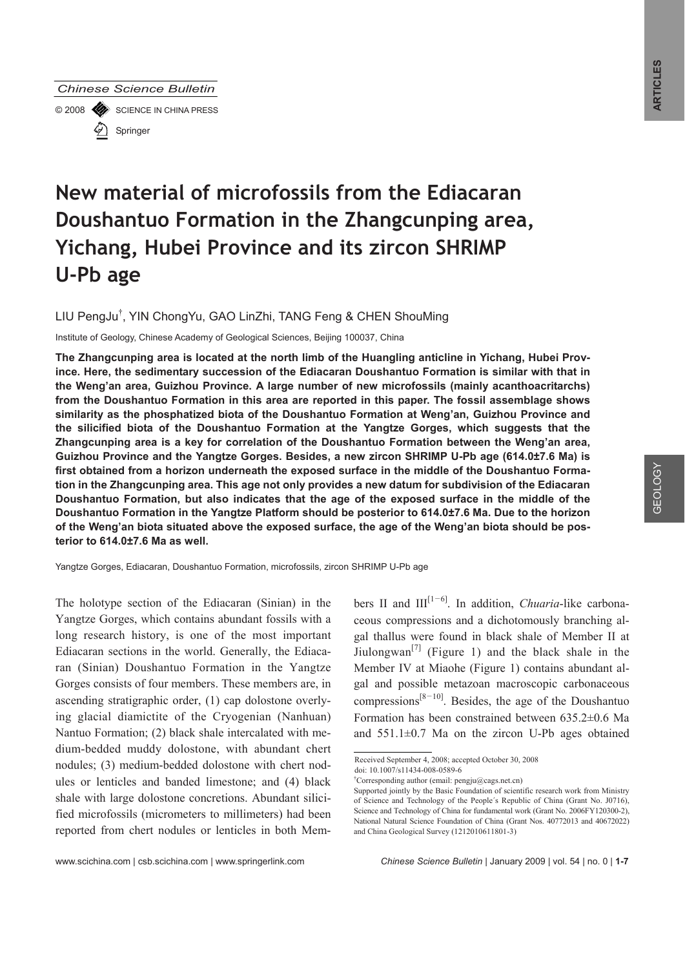#### *Chinese Science Bulletin*

© 2008 SCIENCE IN CHINA PRESS Springer

# **New material of microfossils from the Ediacaran Doushantuo Formation in the Zhangcunping area, Yichang, Hubei Province and its zircon SHRIMP U-Pb age**

LIU PengJu<sup>†</sup>, YIN ChongYu, GAO LinZhi, TANG Feng & CHEN ShouMing

Institute of Geology, Chinese Academy of Geological Sciences, Beijing 100037, China

**The Zhangcunping area is located at the north limb of the Huangling anticline in Yichang, Hubei Province. Here, the sedimentary succession of the Ediacaran Doushantuo Formation is similar with that in the Weng'an area, Guizhou Province. A large number of new microfossils (mainly acanthoacritarchs) from the Doushantuo Formation in this area are reported in this paper. The fossil assemblage shows similarity as the phosphatized biota of the Doushantuo Formation at Weng'an, Guizhou Province and the silicified biota of the Doushantuo Formation at the Yangtze Gorges, which suggests that the Zhangcunping area is a key for correlation of the Doushantuo Formation between the Weng'an area, Guizhou Province and the Yangtze Gorges. Besides, a new zircon SHRIMP U-Pb age (614.0±7.6 Ma) is first obtained from a horizon underneath the exposed surface in the middle of the Doushantuo Formation in the Zhangcunping area. This age not only provides a new datum for subdivision of the Ediacaran Doushantuo Formation, but also indicates that the age of the exposed surface in the middle of the Doushantuo Formation in the Yangtze Platform should be posterior to 614.0±7.6 Ma. Due to the horizon of the Weng'an biota situated above the exposed surface, the age of the Weng'an biota should be posterior to 614.0±7.6 Ma as well.** 

Yangtze Gorges, Ediacaran, Doushantuo Formation, microfossils, zircon SHRIMP U-Pb age

The holotype section of the Ediacaran (Sinian) in the Yangtze Gorges, which contains abundant fossils with a long research history, is one of the most important Ediacaran sections in the world. Generally, the Ediacaran (Sinian) Doushantuo Formation in the Yangtze Gorges consists of four members. These members are, in ascending stratigraphic order, (1) cap dolostone overlying glacial diamictite of the Cryogenian (Nanhuan) Nantuo Formation; (2) black shale intercalated with medium-bedded muddy dolostone, with abundant chert nodules; (3) medium-bedded dolostone with chert nodules or lenticles and banded limestone; and (4) black shale with large dolostone concretions. Abundant silicified microfossils (micrometers to millimeters) had been reported from chert nodules or lenticles in both Members II and  $III^{[1-6]}$ . In addition, *Chuaria*-like carbonaceous compressions and a dichotomously branching algal thallus were found in black shale of Member II at Jiulongwan<sup>[7]</sup> (Figure 1) and the black shale in the Member IV at Miaohe (Figure 1) contains abundant algal and possible metazoan macroscopic carbonaceous compressions $[8-10]$ . Besides, the age of the Doushantuo Formation has been constrained between 635.2±0.6 Ma and 551.1±0.7 Ma on the zircon U-Pb ages obtained

Received September 4, 2008; accepted October 30, 2008

 $\overline{a}$ 

doi: 10.1007/s11434-008-0589-6

<sup>†</sup> Corresponding author (email: pengju@cags.net.cn)

Supported jointly by the Basic Foundation of scientific research work from Ministry of Science and Technology of the People´s Republic of China (Grant No. J0716), Science and Technology of China for fundamental work (Grant No. 2006FY120300-2), National Natural Science Foundation of China (Grant Nos. 40772013 and 40672022) and China Geological Survey (1212010611801-3)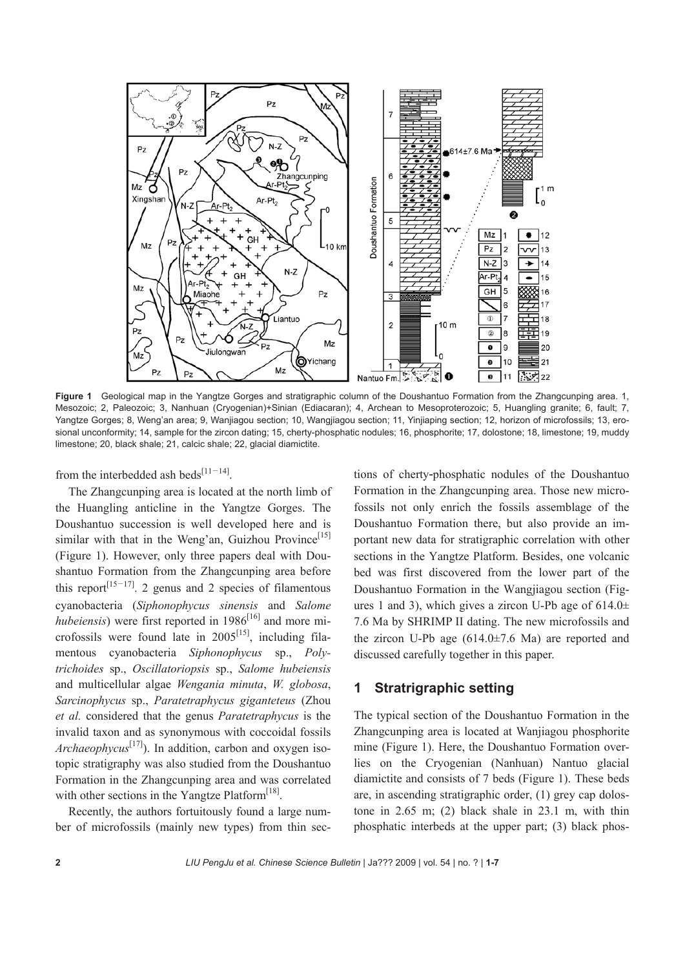

Figure 1 Geological map in the Yangtze Gorges and stratigraphic column of the Doushantuo Formation from the Zhangcunping area. 1, Mesozoic; 2, Paleozoic; 3, Nanhuan (Cryogenian)+Sinian (Ediacaran); 4, Archean to Mesoproterozoic; 5, Huangling granite; 6, fault; 7, Yangtze Gorges; 8, Weng'an area; 9, Wanjiagou section; 10, Wangjiagou section; 11, Yinjiaping section; 12, horizon of microfossils; 13, erosional unconformity; 14, sample for the zircon dating; 15, cherty-phosphatic nodules; 16, phosphorite; 17, dolostone; 18, limestone; 19, muddy limestone; 20, black shale; 21, calcic shale; 22, glacial diamictite.

from the interbedded ash beds<sup>[11-14]</sup>.

The Zhangcunping area is located at the north limb of the Huangling anticline in the Yangtze Gorges. The Doushantuo succession is well developed here and is similar with that in the Weng'an, Guizhou Province<sup>[15]</sup> (Figure 1). However, only three papers deal with Doushantuo Formation from the Zhangcunping area before this report<sup>[15–17]</sup>. 2 genus and 2 species of filamentous cyanobacteria (*Siphonophycus sinensis* and *Salome hubeiensis*) were first reported in  $1986^{[16]}$  and more microfossils were found late in  $2005^{[15]}$ , including filamentous cyanobacteria *Siphonophycus* sp., *Polytrichoides* sp., *Oscillatoriopsis* sp., *Salome hubeiensis* and multicellular algae *Wengania minuta*, *W. globosa*, *Sarcinophycus* sp., *Paratetraphycus giganteteus* (Zhou *et al.* considered that the genus *Paratetraphycus* is the invalid taxon and as synonymous with coccoidal fossils *Archaeophycus*[17]). In addition, carbon and oxygen isotopic stratigraphy was also studied from the Doushantuo Formation in the Zhangcunping area and was correlated with other sections in the Yangtze Platform<sup>[18]</sup>.

Recently, the authors fortuitously found a large number of microfossils (mainly new types) from thin sec-

tions of cherty-phosphatic nodules of the Doushantuo Formation in the Zhangcunping area. Those new microfossils not only enrich the fossils assemblage of the Doushantuo Formation there, but also provide an important new data for stratigraphic correlation with other sections in the Yangtze Platform. Besides, one volcanic bed was first discovered from the lower part of the Doushantuo Formation in the Wangjiagou section (Figures 1 and 3), which gives a zircon U-Pb age of  $614.0\pm$ 7.6 Ma by SHRIMP II dating. The new microfossils and the zircon U-Pb age  $(614.0\pm7.6)$  Ma) are reported and discussed carefully together in this paper.

## **1 Stratrigraphic setting**

The typical section of the Doushantuo Formation in the Zhangcunping area is located at Wanjiagou phosphorite mine (Figure 1). Here, the Doushantuo Formation overlies on the Cryogenian (Nanhuan) Nantuo glacial diamictite and consists of 7 beds (Figure 1). These beds are, in ascending stratigraphic order, (1) grey cap dolostone in 2.65 m; (2) black shale in 23.1 m, with thin phosphatic interbeds at the upper part; (3) black phos-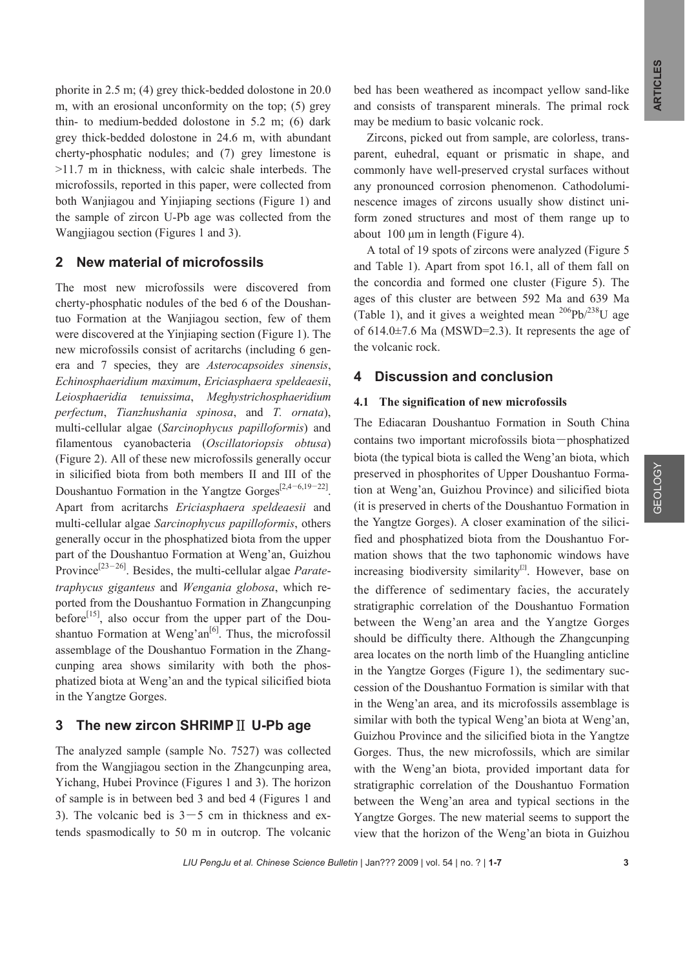phorite in 2.5 m; (4) grey thick-bedded dolostone in 20.0 m, with an erosional unconformity on the top; (5) grey thin- to medium-bedded dolostone in 5.2 m; (6) dark grey thick-bedded dolostone in 24.6 m, with abundant cherty-phosphatic nodules; and (7) grey limestone is >11.7 m in thickness, with calcic shale interbeds. The microfossils, reported in this paper, were collected from both Wanjiagou and Yinjiaping sections (Figure 1) and the sample of zircon U-Pb age was collected from the Wangjiagou section (Figures 1 and 3).

## **2 New material of microfossils**

The most new microfossils were discovered from cherty-phosphatic nodules of the bed 6 of the Doushantuo Formation at the Wanjiagou section, few of them were discovered at the Yinjiaping section (Figure 1). The new microfossils consist of acritarchs (including 6 genera and 7 species, they are *Asterocapsoides sinensis*, *Echinosphaeridium maximum*, *Ericiasphaera speldeaesii*, *Leiosphaeridia tenuissima*, *Meghystrichosphaeridium perfectum*, *Tianzhushania spinosa*, and *T. ornata*), multi-cellular algae (*Sarcinophycus papilloformis*) and filamentous cyanobacteria (*Oscillatoriopsis obtusa*) (Figure 2). All of these new microfossils generally occur in silicified biota from both members II and III of the Doushantuo Formation in the Yangtze Gorges<sup>[2,4–6,19–22]</sup>. Apart from acritarchs *Ericiasphaera speldeaesii* and multi-cellular algae *Sarcinophycus papilloformis*, others generally occur in the phosphatized biota from the upper part of the Doushantuo Formation at Weng'an, Guizhou Province<sup>[23–26]</sup>. Besides, the multi-cellular algae *Paratetraphycus giganteus* and *Wengania globosa*, which reported from the Doushantuo Formation in Zhangcunping before<sup>[15]</sup>, also occur from the upper part of the Doushantuo Formation at Weng'an $[6]$ . Thus, the microfossil assemblage of the Doushantuo Formation in the Zhangcunping area shows similarity with both the phosphatized biota at Weng'an and the typical silicified biota in the Yangtze Gorges.

### **3** The new zircon SHRIMP II U-Pb age

The analyzed sample (sample No. 7527) was collected from the Wangjiagou section in the Zhangcunping area, Yichang, Hubei Province (Figures 1 and 3). The horizon of sample is in between bed 3 and bed 4 (Figures 1 and 3). The volcanic bed is  $3-5$  cm in thickness and extends spasmodically to 50 m in outcrop. The volcanic

bed has been weathered as incompact yellow sand-like and consists of transparent minerals. The primal rock may be medium to basic volcanic rock.

Zircons, picked out from sample, are colorless, transparent, euhedral, equant or prismatic in shape, and commonly have well-preserved crystal surfaces without any pronounced corrosion phenomenon. Cathodoluminescence images of zircons usually show distinct uniform zoned structures and most of them range up to about 100 μm in length (Figure 4).

A total of 19 spots of zircons were analyzed (Figure 5 and Table 1). Apart from spot 16.1, all of them fall on the concordia and formed one cluster (Figure 5). The ages of this cluster are between 592 Ma and 639 Ma (Table 1), and it gives a weighted mean  $^{206}Pb^{238}U$  age of 614.0±7.6 Ma (MSWD=2.3). It represents the age of the volcanic rock.

### **4 Discussion and conclusion**

#### **4.1 The signification of new microfossils**

The Ediacaran Doushantuo Formation in South China contains two important microfossils biota―phosphatized biota (the typical biota is called the Weng'an biota, which preserved in phosphorites of Upper Doushantuo Formation at Weng'an, Guizhou Province) and silicified biota (it is preserved in cherts of the Doushantuo Formation in the Yangtze Gorges). A closer examination of the silicified and phosphatized biota from the Doushantuo Formation shows that the two taphonomic windows have increasing biodiversity similarity $[2]$ . However, base on the difference of sedimentary facies, the accurately stratigraphic correlation of the Doushantuo Formation between the Weng'an area and the Yangtze Gorges should be difficulty there. Although the Zhangcunping area locates on the north limb of the Huangling anticline in the Yangtze Gorges (Figure 1), the sedimentary succession of the Doushantuo Formation is similar with that in the Weng'an area, and its microfossils assemblage is similar with both the typical Weng'an biota at Weng'an, Guizhou Province and the silicified biota in the Yangtze Gorges. Thus, the new microfossils, which are similar with the Weng'an biota, provided important data for stratigraphic correlation of the Doushantuo Formation between the Weng'an area and typical sections in the Yangtze Gorges. The new material seems to support the view that the horizon of the Weng'an biota in Guizhou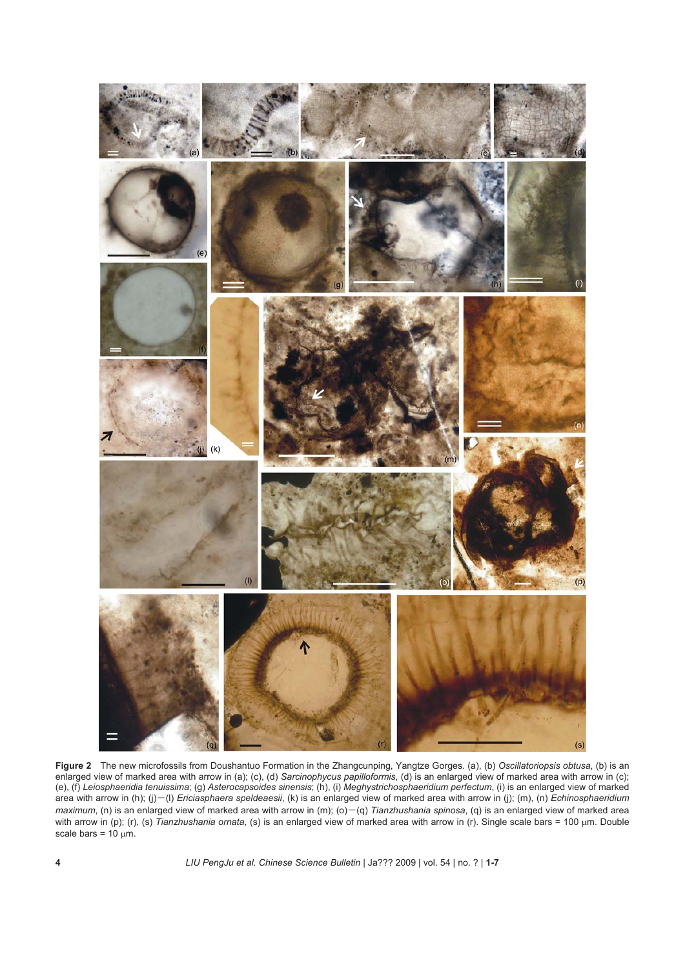

**Figure 2** The new microfossils from Doushantuo Formation in the Zhangcunping, Yangtze Gorges. (a), (b) *Oscillatoriopsis obtusa*, (b) is an enlarged view of marked area with arrow in (a); (c), (d) *Sarcinophycus papilloformis*, (d) is an enlarged view of marked area with arrow in (c); (e), (f) *Leiosphaeridia tenuissima*; (g) *Asterocapsoides sinensis*; (h), (i) *Meghystrichosphaeridium perfectum*, (i) is an enlarged view of marked area with arrow in (h); (j)―(l) *Ericiasphaera speldeaesii*, (k) is an enlarged view of marked area with arrow in (j); (m), (n) *Echinosphaeridium maximum*, (n) is an enlarged view of marked area with arrow in (m); (o)–(q) *Tianzhushania spinosa*, (q) is an enlarged view of marked area with arrow in (p); (r), (s) *Tianzhushania ornata*, (s) is an enlarged view of marked area with arrow in (r). Single scale bars = 100 μm. Double scale bars =  $10 \mu m$ .

**4** *LIU PengJu et al. Chinese Science Bulletin* | Ja??? 2009 | vol. 54 | no. ? | **1-7**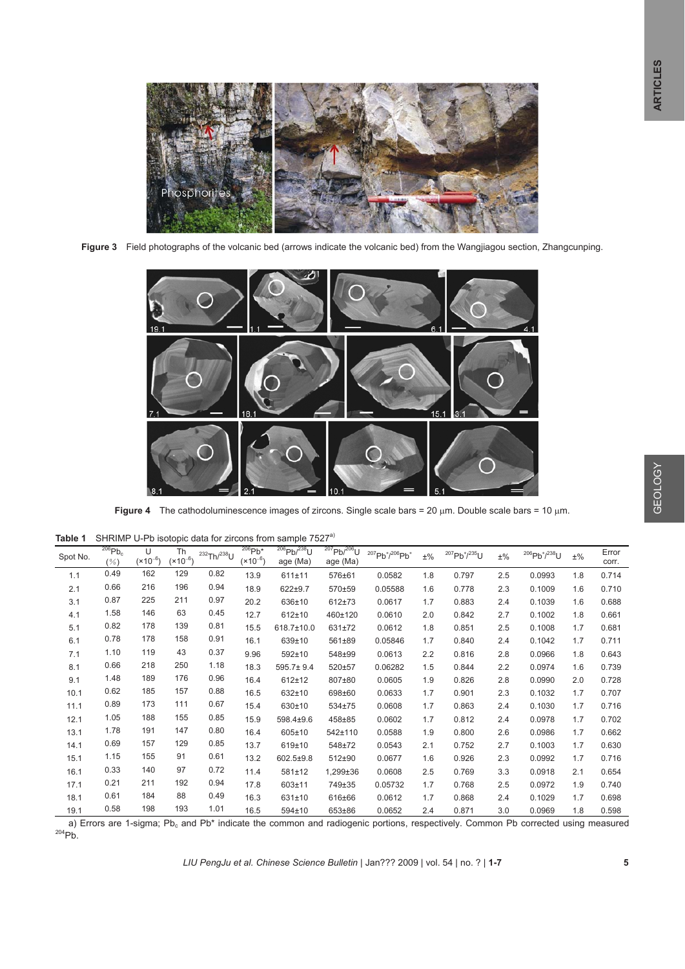

**Figure 3** Field photographs of the volcanic bed (arrows indicate the volcanic bed) from the Wangjiagou section, Zhangcunping.



**Figure 4** The cathodoluminescence images of zircons. Single scale bars = 20 μm. Double scale bars = 10 μm.

| Table 1 SHRIMP U-Pb isotopic data for zircons from sample 7527 <sup>a)</sup> |
|------------------------------------------------------------------------------|
|------------------------------------------------------------------------------|

| Spot No. | $206$ Pb <sub>c</sub><br>$(\% )$ | U<br>$(x10^{-6})$ | <b>Th</b><br>$(x10^{-6})$ | $^{232}$ Th/ $^{238}$ U | $206$ Pb <sup>*</sup><br>$(x10^{-6})$ | $^{206}Pb/^{238}U$<br>age (Ma) | $^{207}Pb/^{206}U$<br>age (Ma) | $^{207}Pb*/^{206}Pb*$ | $\pm\%$ | $^{207}Pb^{*}/^{235}U$ | $\pm\%$ | $^{206}Pb*/^{238}U$ | $\pm\%$ | Error<br>corr. |
|----------|----------------------------------|-------------------|---------------------------|-------------------------|---------------------------------------|--------------------------------|--------------------------------|-----------------------|---------|------------------------|---------|---------------------|---------|----------------|
| 1.1      | 0.49                             | 162               | 129                       | 0.82                    | 13.9                                  | 611±11                         | 576±61                         | 0.0582                | 1.8     | 0.797                  | 2.5     | 0.0993              | 1.8     | 0.714          |
| 2.1      | 0.66                             | 216               | 196                       | 0.94                    | 18.9                                  | 622±9.7                        | 570±59                         | 0.05588               | 1.6     | 0.778                  | 2.3     | 0.1009              | 1.6     | 0.710          |
| 3.1      | 0.87                             | 225               | 211                       | 0.97                    | 20.2                                  | 636±10                         | 612±73                         | 0.0617                | 1.7     | 0.883                  | 2.4     | 0.1039              | 1.6     | 0.688          |
| 4.1      | 1.58                             | 146               | 63                        | 0.45                    | 12.7                                  | $612 \pm 10$                   | 460±120                        | 0.0610                | 2.0     | 0.842                  | 2.7     | 0.1002              | 1.8     | 0.661          |
| 5.1      | 0.82                             | 178               | 139                       | 0.81                    | 15.5                                  | 618.7±10.0                     | 631±72                         | 0.0612                | 1.8     | 0.851                  | 2.5     | 0.1008              | 1.7     | 0.681          |
| 6.1      | 0.78                             | 178               | 158                       | 0.91                    | 16.1                                  | 639±10                         | 561±89                         | 0.05846               | 1.7     | 0.840                  | 2.4     | 0.1042              | 1.7     | 0.711          |
| 7.1      | 1.10                             | 119               | 43                        | 0.37                    | 9.96                                  | $592 + 10$                     | 548±99                         | 0.0613                | 2.2     | 0.816                  | 2.8     | 0.0966              | 1.8     | 0.643          |
| 8.1      | 0.66                             | 218               | 250                       | 1.18                    | 18.3                                  | 595.7±9.4                      | 520±57                         | 0.06282               | 1.5     | 0.844                  | 2.2     | 0.0974              | 1.6     | 0.739          |
| 9.1      | 1.48                             | 189               | 176                       | 0.96                    | 16.4                                  | $612 \pm 12$                   | 807±80                         | 0.0605                | 1.9     | 0.826                  | 2.8     | 0.0990              | 2.0     | 0.728          |
| 10.1     | 0.62                             | 185               | 157                       | 0.88                    | 16.5                                  | 632±10                         | 698±60                         | 0.0633                | 1.7     | 0.901                  | 2.3     | 0.1032              | 1.7     | 0.707          |
| 11.1     | 0.89                             | 173               | 111                       | 0.67                    | 15.4                                  | 630±10                         | 534±75                         | 0.0608                | 1.7     | 0.863                  | 2.4     | 0.1030              | 1.7     | 0.716          |
| 12.1     | 1.05                             | 188               | 155                       | 0.85                    | 15.9                                  | 598.4±9.6                      | 458±85                         | 0.0602                | 1.7     | 0.812                  | 2.4     | 0.0978              | 1.7     | 0.702          |
| 13.1     | 1.78                             | 191               | 147                       | 0.80                    | 16.4                                  | 605±10                         | 542±110                        | 0.0588                | 1.9     | 0.800                  | 2.6     | 0.0986              | 1.7     | 0.662          |
| 14.1     | 0.69                             | 157               | 129                       | 0.85                    | 13.7                                  | 619±10                         | 548±72                         | 0.0543                | 2.1     | 0.752                  | 2.7     | 0.1003              | 1.7     | 0.630          |
| 15.1     | 1.15                             | 155               | 91                        | 0.61                    | 13.2                                  | 602.5±9.8                      | 512±90                         | 0.0677                | 1.6     | 0.926                  | 2.3     | 0.0992              | 1.7     | 0.716          |
| 16.1     | 0.33                             | 140               | 97                        | 0.72                    | 11.4                                  | 581±12                         | 1,299±36                       | 0.0608                | 2.5     | 0.769                  | 3.3     | 0.0918              | 2.1     | 0.654          |
| 17.1     | 0.21                             | 211               | 192                       | 0.94                    | 17.8                                  | 603±11                         | 749±35                         | 0.05732               | 1.7     | 0.768                  | 2.5     | 0.0972              | 1.9     | 0.740          |
| 18.1     | 0.61                             | 184               | 88                        | 0.49                    | 16.3                                  | 631±10                         | 616±66                         | 0.0612                | 1.7     | 0.868                  | 2.4     | 0.1029              | 1.7     | 0.698          |
| 19.1     | 0.58                             | 198               | 193                       | 1.01                    | 16.5                                  | $594 \pm 10$                   | 653±86                         | 0.0652                | 2.4     | 0.871                  | 3.0     | 0.0969              | 1.8     | 0.598          |

a) Errors are 1-sigma; Pb<sub>c</sub> and Pb\* indicate the common and radiogenic portions, respectively. Common Pb corrected using measured 204Pb.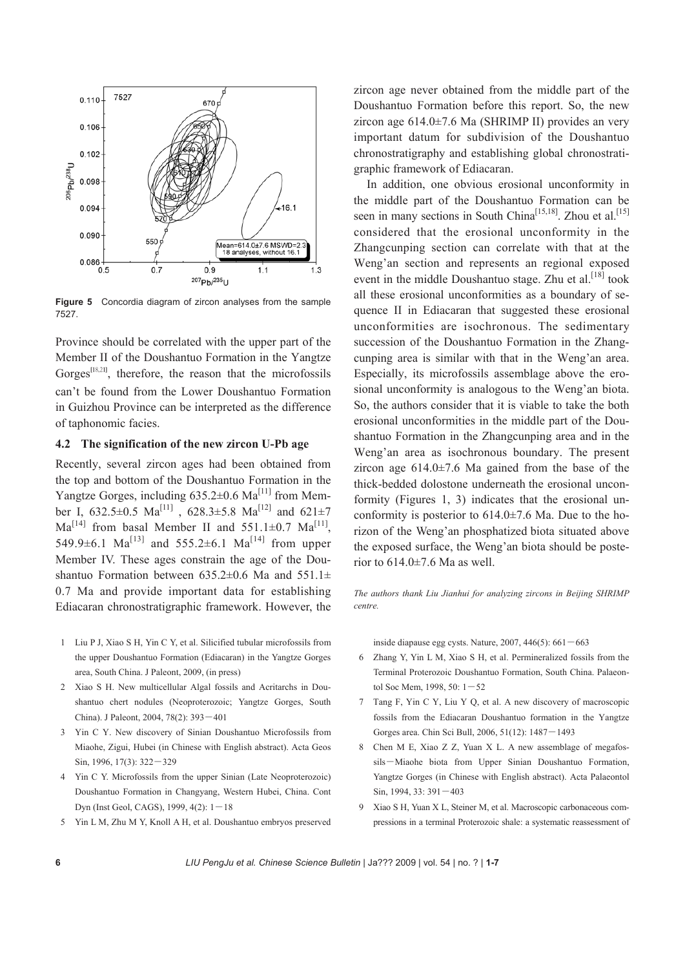

**Figure 5** Concordia diagram of zircon analyses from the sample 7527.

Province should be correlated with the upper part of the Member II of the Doushantuo Formation in the Yangtze Gorges<sup>[18,21]</sup>, therefore, the reason that the microfossils can't be found from the Lower Doushantuo Formation in Guizhou Province can be interpreted as the difference of taphonomic facies.

#### **4.2 The signification of the new zircon U-Pb age**

Recently, several zircon ages had been obtained from the top and bottom of the Doushantuo Formation in the Yangtze Gorges, including  $635.2\pm0.6$  Ma<sup>[11]</sup> from Member I,  $632.5\pm0.5$  Ma<sup>[11]</sup>,  $628.3\pm5.8$  Ma<sup>[12]</sup> and  $621\pm7$  $Ma^{[14]}$  from basal Member II and 551.1±0.7 Ma<sup>[11]</sup>, 549.9 $\pm$ 6.1 Ma<sup>[13]</sup> and 555.2 $\pm$ 6.1 Ma<sup>[14]</sup> from upper Member IV. These ages constrain the age of the Doushantuo Formation between  $635.2\pm0.6$  Ma and  $551.1\pm$ 0.7 Ma and provide important data for establishing Ediacaran chronostratigraphic framework. However, the

- 1 Liu P J, Xiao S H, Yin C Y, et al. Silicified tubular microfossils from the upper Doushantuo Formation (Ediacaran) in the Yangtze Gorges area, South China. J Paleont, 2009, (in press)
- 2 Xiao S H. New multicellular Algal fossils and Acritarchs in Doushantuo chert nodules (Neoproterozoic; Yangtze Gorges, South China). J Paleont, 2004, 78(2): 393―401
- 3 Yin C Y. New discovery of Sinian Doushantuo Microfossils from Miaohe, Zigui, Hubei (in Chinese with English abstract). Acta Geos Sin, 1996, 17(3): 322―329
- 4 Yin C Y. Microfossils from the upper Sinian (Late Neoproterozoic) Doushantuo Formation in Changyang, Western Hubei, China. Cont Dyn (Inst Geol, CAGS), 1999, 4(2): 1―18
- 5 Yin L M, Zhu M Y, Knoll A H, et al. Doushantuo embryos preserved

zircon age never obtained from the middle part of the Doushantuo Formation before this report. So, the new zircon age  $614.0\pm7.6$  Ma (SHRIMP II) provides an very important datum for subdivision of the Doushantuo chronostratigraphy and establishing global chronostratigraphic framework of Ediacaran.

In addition, one obvious erosional unconformity in the middle part of the Doushantuo Formation can be seen in many sections in South China<sup>[15,18]</sup>. Zhou et al.<sup>[15]</sup> considered that the erosional unconformity in the Zhangcunping section can correlate with that at the Weng'an section and represents an regional exposed event in the middle Doushantuo stage. Zhu et al.  $[18]$  took all these erosional unconformities as a boundary of sequence II in Ediacaran that suggested these erosional unconformities are isochronous. The sedimentary succession of the Doushantuo Formation in the Zhangcunping area is similar with that in the Weng'an area. Especially, its microfossils assemblage above the erosional unconformity is analogous to the Weng'an biota. So, the authors consider that it is viable to take the both erosional unconformities in the middle part of the Doushantuo Formation in the Zhangcunping area and in the Weng'an area as isochronous boundary. The present zircon age  $614.0\pm7.6$  Ma gained from the base of the thick-bedded dolostone underneath the erosional unconformity (Figures 1, 3) indicates that the erosional unconformity is posterior to  $614.0\pm7.6$  Ma. Due to the horizon of the Weng'an phosphatized biota situated above the exposed surface, the Weng'an biota should be posterior to  $614.0\pm7.6$  Ma as well.

*The authors thank Liu Jianhui for analyzing zircons in Beijing SHRIMP centre.* 

inside diapause egg cysts. Nature,  $2007, 446(5)$ :  $661 - 663$ 

- 6 Zhang Y, Yin L M, Xiao S H, et al. Permineralized fossils from the Terminal Proterozoic Doushantuo Formation, South China. Palaeontol Soc Mem, 1998, 50: 1―52
- 7 Tang F, Yin C Y, Liu Y Q, et al. A new discovery of macroscopic fossils from the Ediacaran Doushantuo formation in the Yangtze Gorges area. Chin Sci Bull, 2006, 51(12): 1487―1493
- 8 Chen M E, Xiao Z Z, Yuan X L. A new assemblage of megafossils―Miaohe biota from Upper Sinian Doushantuo Formation, Yangtze Gorges (in Chinese with English abstract). Acta Palaeontol Sin, 1994, 33: 391―403
- 9 Xiao S H, Yuan X L, Steiner M, et al. Macroscopic carbonaceous compressions in a terminal Proterozoic shale: a systematic reassessment of